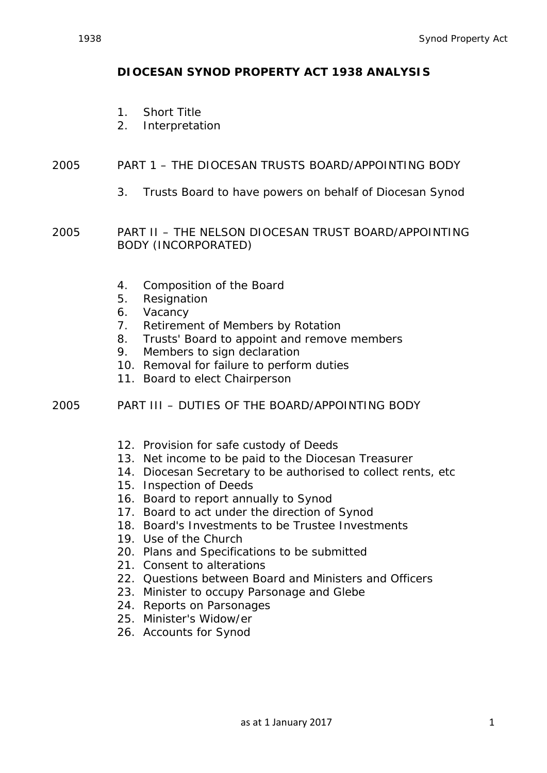## **DIOCESAN SYNOD PROPERTY ACT 1938 ANALYSIS**

- 1. Short Title
- 2. Interpretation

#### 2005 PART 1 – THE DIOCESAN TRUSTS BOARD/APPOINTING BODY

3. Trusts Board to have powers on behalf of Diocesan Synod

#### 2005 PART II – THE NELSON DIOCESAN TRUST BOARD/APPOINTING BODY (INCORPORATED)

- 4. Composition of the Board
- 5. Resignation
- 6. Vacancy
- 7. Retirement of Members by Rotation
- 8. Trusts' Board to appoint and remove members
- 9. Members to sign declaration
- 10. Removal for failure to perform duties
- 11. Board to elect Chairperson

## 2005 PART III – DUTIES OF THE BOARD/APPOINTING BODY

- 12. Provision for safe custody of Deeds
- 13. Net income to be paid to the Diocesan Treasurer
- 14. Diocesan Secretary to be authorised to collect rents, etc
- 15. Inspection of Deeds
- 16. Board to report annually to Synod
- 17. Board to act under the direction of Synod
- 18. Board's Investments to be Trustee Investments
- 19. Use of the Church
- 20. Plans and Specifications to be submitted
- 21. Consent to alterations
- 22. Questions between Board and Ministers and Officers
- 23. Minister to occupy Parsonage and Glebe
- 24. Reports on Parsonages
- 25. Minister's Widow/er
- 26. Accounts for Synod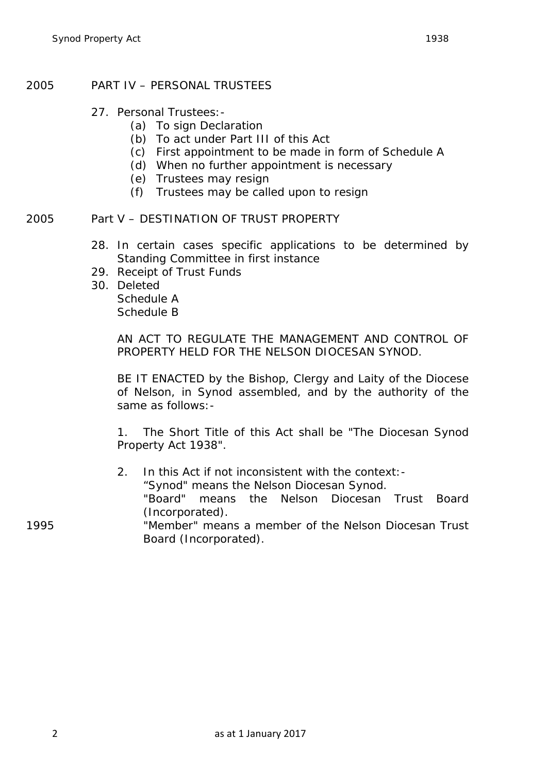- 27. Personal Trustees:-
	- (a) To sign Declaration
	- (b) To act under Part III of this Act
	- (c) First appointment to be made in form of Schedule A
	- (d) When no further appointment is necessary
	- (e) Trustees may resign
	- (f) Trustees may be called upon to resign
- 2005 Part V DESTINATION OF TRUST PROPERTY
	- 28. In certain cases specific applications to be determined by Standing Committee in first instance
	- 29. Receipt of Trust Funds
	- 30. Deleted

Schedule A Schedule B

AN ACT TO REGULATE THE MANAGEMENT AND CONTROL OF PROPERTY HELD FOR THE NELSON DIOCESAN SYNOD.

BE IT ENACTED by the Bishop, Clergy and Laity of the Diocese of Nelson, in Synod assembled, and by the authority of the same as follows:-

1. The Short Title of this Act shall be "The Diocesan Synod Property Act 1938".

2. In this Act if not inconsistent with the context:- "Synod" means the Nelson Diocesan Synod. "Board" means the Nelson Diocesan Trust Board (Incorporated).

1995 "Member" means a member of the Nelson Diocesan Trust Board (Incorporated).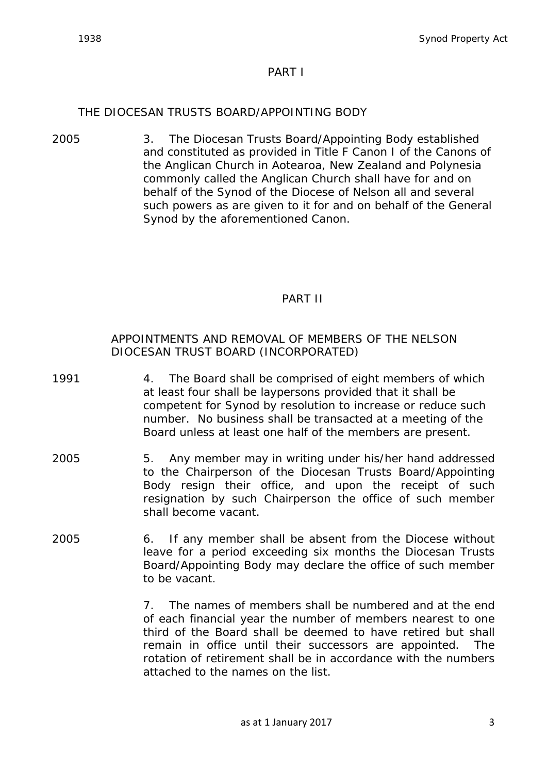# PART I

## THE DIOCESAN TRUSTS BOARD/APPOINTING BODY

2005 3. The Diocesan Trusts Board/Appointing Body established and constituted as provided in Title F Canon I of the Canons of the Anglican Church in Aotearoa, New Zealand and Polynesia commonly called the Anglican Church shall have for and on behalf of the Synod of the Diocese of Nelson all and several such powers as are given to it for and on behalf of the General Synod by the aforementioned Canon.

# PART II

## APPOINTMENTS AND REMOVAL OF MEMBERS OF THE NELSON DIOCESAN TRUST BOARD (INCORPORATED)

- 1991 4. The Board shall be comprised of eight members of which at least four shall be laypersons provided that it shall be competent for Synod by resolution to increase or reduce such number. No business shall be transacted at a meeting of the Board unless at least one half of the members are present.
- 2005 5. Any member may in writing under his/her hand addressed to the Chairperson of the Diocesan Trusts Board/Appointing Body resign their office, and upon the receipt of such resignation by such Chairperson the office of such member shall become vacant.
- 2005 6. If any member shall be absent from the Diocese without leave for a period exceeding six months the Diocesan Trusts Board/Appointing Body may declare the office of such member to be vacant.

7. The names of members shall be numbered and at the end of each financial year the number of members nearest to one third of the Board shall be deemed to have retired but shall remain in office until their successors are appointed. The rotation of retirement shall be in accordance with the numbers attached to the names on the list.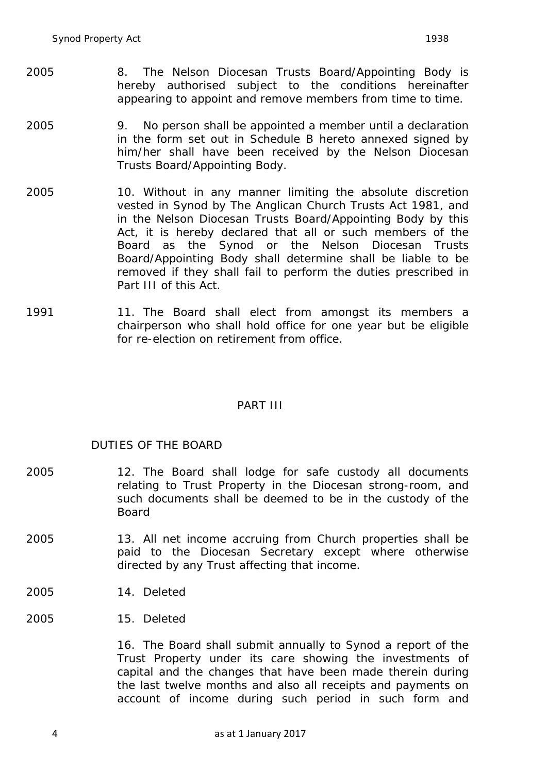- 2005 8. The Nelson Diocesan Trusts Board/Appointing Body is hereby authorised subject to the conditions hereinafter appearing to appoint and remove members from time to time.
- 2005 9. No person shall be appointed a member until a declaration in the form set out in Schedule B hereto annexed signed by him/her shall have been received by the Nelson Diocesan Trusts Board/Appointing Body.
- 2005 10. Without in any manner limiting the absolute discretion vested in Synod by The Anglican Church Trusts Act 1981, and in the Nelson Diocesan Trusts Board/Appointing Body by this Act, it is hereby declared that all or such members of the Board as the Synod or the Nelson Diocesan Trusts Board/Appointing Body shall determine shall be liable to be removed if they shall fail to perform the duties prescribed in Part III of this Act.
- 1991 11. The Board shall elect from amongst its members a chairperson who shall hold office for one year but be eligible for re-election on retirement from office.

#### PART III

## DUTIES OF THE BOARD

- 2005 12. The Board shall lodge for safe custody all documents relating to Trust Property in the Diocesan strong-room, and such documents shall be deemed to be in the custody of the Board
- 2005 13. All net income accruing from Church properties shall be paid to the Diocesan Secretary except where otherwise directed by any Trust affecting that income.
- 2005 14. Deleted
- 2005 15. Deleted

16. The Board shall submit annually to Synod a report of the Trust Property under its care showing the investments of capital and the changes that have been made therein during the last twelve months and also all receipts and payments on account of income during such period in such form and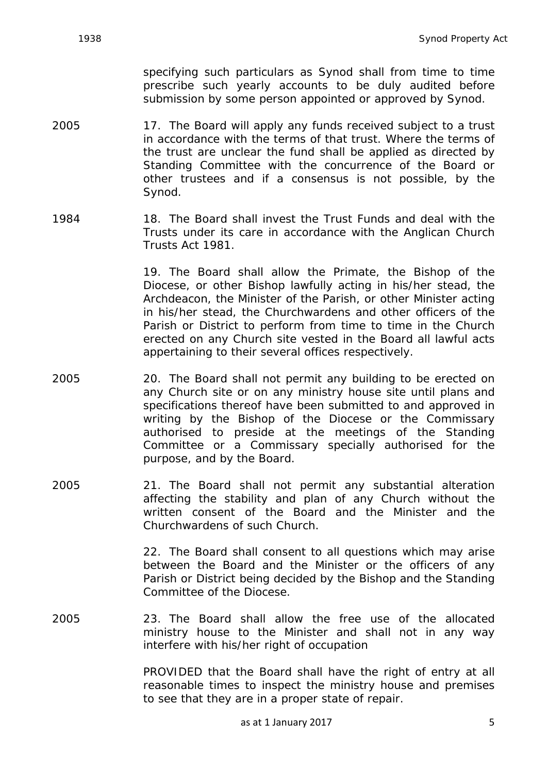specifying such particulars as Synod shall from time to time prescribe such yearly accounts to be duly audited before submission by some person appointed or approved by Synod.

- 2005 17. The Board will apply any funds received subject to a trust in accordance with the terms of that trust. Where the terms of the trust are unclear the fund shall be applied as directed by Standing Committee with the concurrence of the Board or other trustees and if a consensus is not possible, by the Synod.
- 1984 18. The Board shall invest the Trust Funds and deal with the Trusts under its care in accordance with the Anglican Church Trusts Act 1981.

19. The Board shall allow the Primate, the Bishop of the Diocese, or other Bishop lawfully acting in his/her stead, the Archdeacon, the Minister of the Parish, or other Minister acting in his/her stead, the Churchwardens and other officers of the Parish or District to perform from time to time in the Church erected on any Church site vested in the Board all lawful acts appertaining to their several offices respectively.

- 2005 20. The Board shall not permit any building to be erected on any Church site or on any ministry house site until plans and specifications thereof have been submitted to and approved in writing by the Bishop of the Diocese or the Commissary authorised to preside at the meetings of the Standing Committee or a Commissary specially authorised for the purpose, and by the Board.
- 2005 21. The Board shall not permit any substantial alteration affecting the stability and plan of any Church without the written consent of the Board and the Minister and the Churchwardens of such Church.

22. The Board shall consent to all questions which may arise between the Board and the Minister or the officers of any Parish or District being decided by the Bishop and the Standing Committee of the Diocese.

2005 23. The Board shall allow the free use of the allocated ministry house to the Minister and shall not in any way interfere with his/her right of occupation

> PROVIDED that the Board shall have the right of entry at all reasonable times to inspect the ministry house and premises to see that they are in a proper state of repair.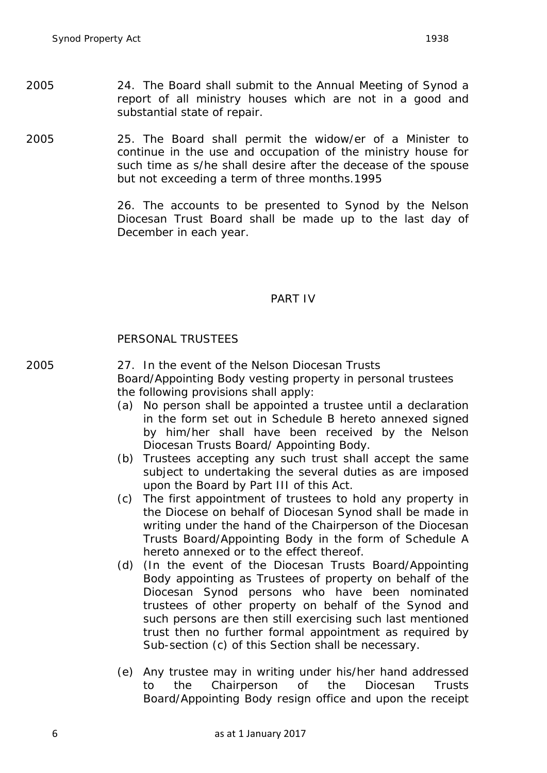- 2005 24. The Board shall submit to the Annual Meeting of Synod a report of all ministry houses which are not in a good and substantial state of repair.
- 2005 25. The Board shall permit the widow/er of a Minister to continue in the use and occupation of the ministry house for such time as s/he shall desire after the decease of the spouse but not exceeding a term of three months.1995

26. The accounts to be presented to Synod by the Nelson Diocesan Trust Board shall be made up to the last day of December in each year.

### PART IV

## PERSONAL TRUSTEES

- 2005 27. In the event of the Nelson Diocesan Trusts Board/Appointing Body vesting property in personal trustees the following provisions shall apply:
	- (a) No person shall be appointed a trustee until a declaration in the form set out in Schedule B hereto annexed signed by him/her shall have been received by the Nelson Diocesan Trusts Board/ Appointing Body.
	- (b) Trustees accepting any such trust shall accept the same subject to undertaking the several duties as are imposed upon the Board by Part III of this Act.
	- (c) The first appointment of trustees to hold any property in the Diocese on behalf of Diocesan Synod shall be made in writing under the hand of the Chairperson of the Diocesan Trusts Board/Appointing Body in the form of Schedule A hereto annexed or to the effect thereof.
	- (d) (In the event of the Diocesan Trusts Board/Appointing Body appointing as Trustees of property on behalf of the Diocesan Synod persons who have been nominated trustees of other property on behalf of the Synod and such persons are then still exercising such last mentioned trust then no further formal appointment as required by Sub-section (c) of this Section shall be necessary.
	- (e) Any trustee may in writing under his/her hand addressed to the Chairperson of the Diocesan Trusts Board/Appointing Body resign office and upon the receipt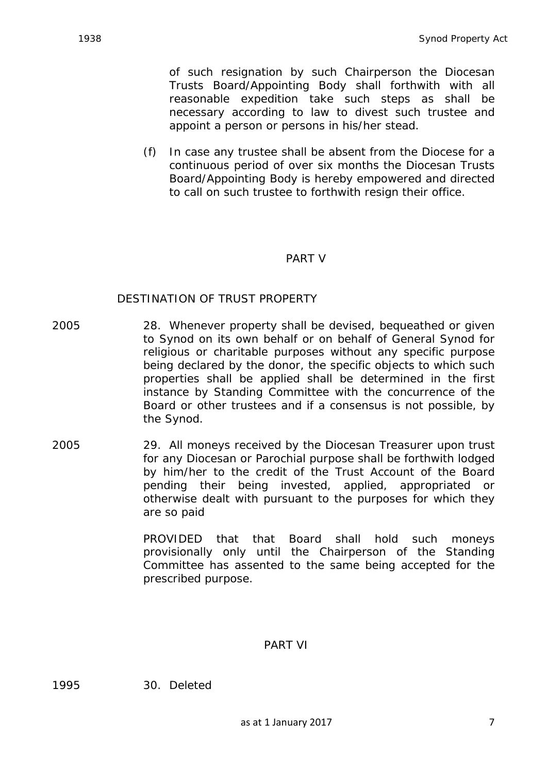of such resignation by such Chairperson the Diocesan Trusts Board/Appointing Body shall forthwith with all reasonable expedition take such steps as shall be necessary according to law to divest such trustee and appoint a person or persons in his/her stead.

(f) In case any trustee shall be absent from the Diocese for a continuous period of over six months the Diocesan Trusts Board/Appointing Body is hereby empowered and directed to call on such trustee to forthwith resign their office.

#### PART V

#### DESTINATION OF TRUST PROPERTY

- 2005 28. Whenever property shall be devised, bequeathed or given to Synod on its own behalf or on behalf of General Synod for religious or charitable purposes without any specific purpose being declared by the donor, the specific objects to which such properties shall be applied shall be determined in the first instance by Standing Committee with the concurrence of the Board or other trustees and if a consensus is not possible, by the Synod.
- 2005 29. All moneys received by the Diocesan Treasurer upon trust for any Diocesan or Parochial purpose shall be forthwith lodged by him/her to the credit of the Trust Account of the Board pending their being invested, applied, appropriated or otherwise dealt with pursuant to the purposes for which they are so paid

PROVIDED that that Board shall hold such moneys provisionally only until the Chairperson of the Standing Committee has assented to the same being accepted for the prescribed purpose.

#### PART VI

1995 30. Deleted

as at 1 January 2017 **7**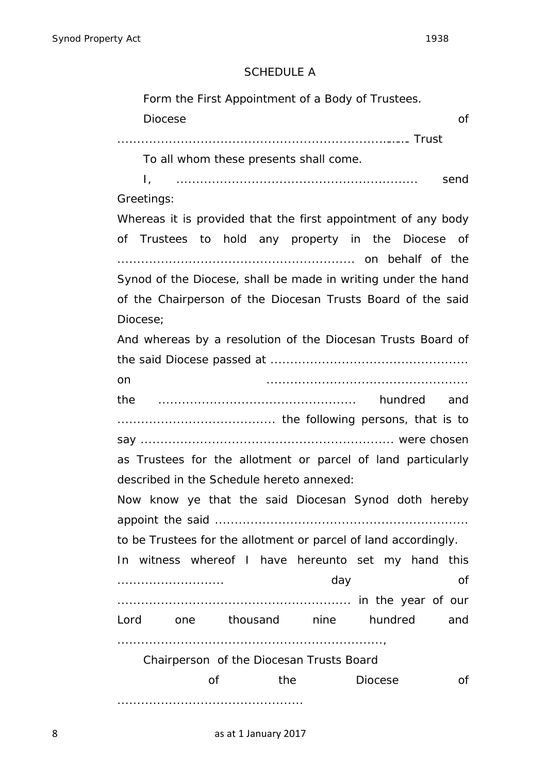#### SCHEDULE A

Form the First Appointment of a Body of Trustees. Diocese of ..................................................................………. Trust To all whom these presents shall come. I, ............................................................. send Greetings: Whereas it is provided that the first appointment of any body of Trustees to hold any property in the Diocese of ............................................................ on behalf of the Synod of the Diocese, shall be made in writing under the hand of the Chairperson of the Diocesan Trusts Board of the said Diocese; And whereas by a resolution of the Diocesan Trusts Board of the said Diocese passed at .................................................. on ................................................... the .................................................. hundred and ........................................ the following persons, that is to say ................................................................ were chosen as Trustees for the allotment or parcel of land particularly described in the Schedule hereto annexed: Now know ye that the said Diocesan Synod doth hereby appoint the said ................................................................ to be Trustees for the allotment or parcel of land accordingly. In witness whereof I have hereunto set my hand this ........................... day of ........................................................... in the year of our Lord one thousand nine hundred and ..................................................................., Chairperson of the Diocesan Trusts Board of the Diocese of ...............................................